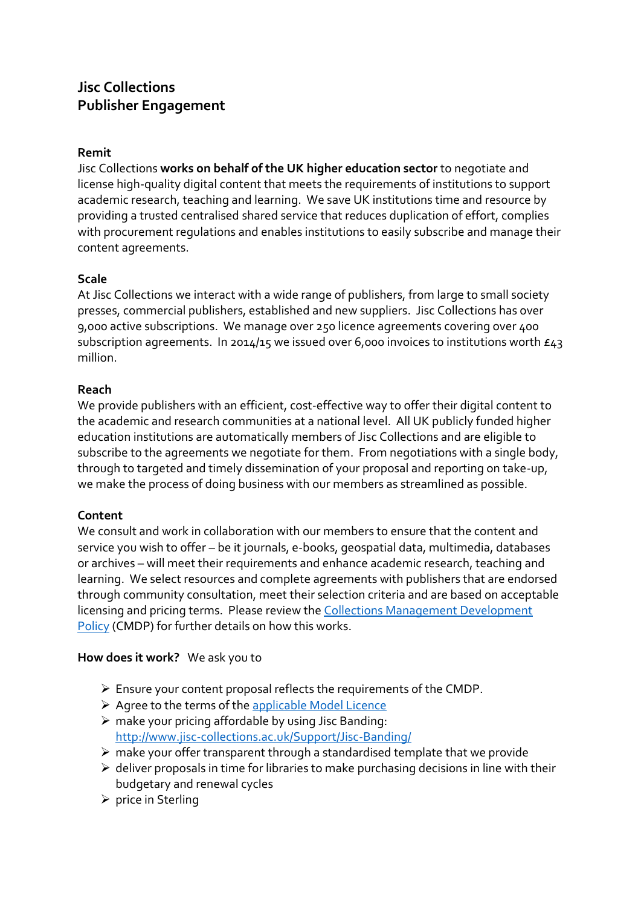# **Jisc Collections Publisher Engagement**

#### **Remit**

Jisc Collections **works on behalf of the UK higher education sector** to negotiate and license high-quality digital content that meets the requirements of institutions to support academic research, teaching and learning. We save UK institutions time and resource by providing a trusted centralised shared service that reduces duplication of effort, complies with procurement regulations and enables institutions to easily subscribe and manage their content agreements.

#### **Scale**

At Jisc Collections we interact with a wide range of publishers, from large to small society presses, commercial publishers, established and new suppliers. Jisc Collections has over 9,000 active subscriptions. We manage over 250 licence agreements covering over 400 subscription agreements. In 2014/15 we issued over 6,000 invoices to institutions worth  $E_4$ 3 million.

#### **Reach**

We provide publishers with an efficient, cost-effective way to offer their digital content to the academic and research communities at a national level. All UK publicly funded higher education institutions are automatically members of Jisc Collections and are eligible to subscribe to the agreements we negotiate for them. From negotiations with a single body, through to targeted and timely dissemination of your proposal and reporting on take-up, we make the process of doing business with our members as streamlined as possible.

## **Content**

We consult and work in collaboration with our members to ensure that the content and service you wish to offer – be it journals, e-books, geospatial data, multimedia, databases or archives – will meet their requirements and enhance academic research, teaching and learning. We select resources and complete agreements with publishers that are endorsed through community consultation, meet their selection criteria and are based on acceptable licensing and pricing terms. Please review the [Collections Management Development](http://www.jisc-collections.ac.uk/About-JISC-Collections/Collections-Management-Development-Policy/)  [Policy](http://www.jisc-collections.ac.uk/About-JISC-Collections/Collections-Management-Development-Policy/) (CMDP) for further details on how this works.

## **How does it work?** We ask you to

- ➢ Ensure your content proposal reflects the requirements of the CMDP.
- ➢ Agree to the terms of th[e applicable Model Licence](http://www.jisc-collections.ac.uk/Help-and-information/How-Model-Licences-work/)
- $\triangleright$  make your pricing affordable by using Jisc Banding: <http://www.jisc-collections.ac.uk/Support/Jisc-Banding/>
- ➢ make your offer transparent through a standardised template that we provide
- $\triangleright$  deliver proposals in time for libraries to make purchasing decisions in line with their budgetary and renewal cycles
- ➢ price in Sterling